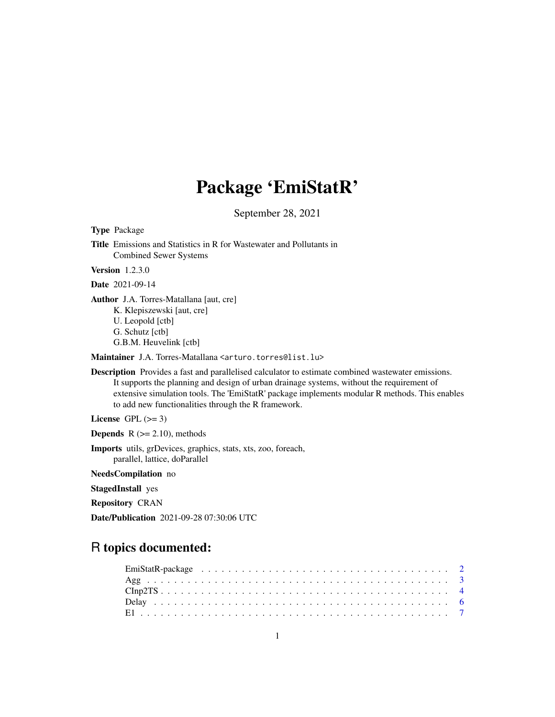# Package 'EmiStatR'

September 28, 2021

Type Package

Title Emissions and Statistics in R for Wastewater and Pollutants in Combined Sewer Systems

Version 1.2.3.0

Date 2021-09-14

Author J.A. Torres-Matallana [aut, cre] K. Klepiszewski [aut, cre] U. Leopold [ctb] G. Schutz [ctb] G.B.M. Heuvelink [ctb]

Maintainer J.A. Torres-Matallana <arturo.torres@list.lu>

Description Provides a fast and parallelised calculator to estimate combined wastewater emissions. It supports the planning and design of urban drainage systems, without the requirement of extensive simulation tools. The 'EmiStatR' package implements modular R methods. This enables to add new functionalities through the R framework.

License GPL  $(>= 3)$ 

**Depends**  $R$  ( $>= 2.10$ ), methods

Imports utils, grDevices, graphics, stats, xts, zoo, foreach, parallel, lattice, doParallel

NeedsCompilation no

StagedInstall yes

Repository CRAN

Date/Publication 2021-09-28 07:30:06 UTC

# R topics documented: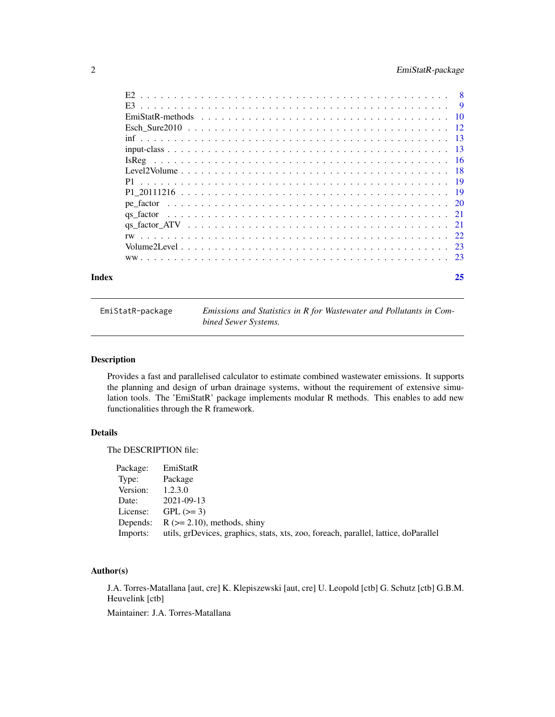# <span id="page-1-0"></span>2 EmiStatR-package

|  |  |  |  |  |  |  |  |  |  |  |  | 25 |
|--|--|--|--|--|--|--|--|--|--|--|--|----|
|  |  |  |  |  |  |  |  |  |  |  |  |    |
|  |  |  |  |  |  |  |  |  |  |  |  |    |
|  |  |  |  |  |  |  |  |  |  |  |  |    |
|  |  |  |  |  |  |  |  |  |  |  |  |    |
|  |  |  |  |  |  |  |  |  |  |  |  |    |
|  |  |  |  |  |  |  |  |  |  |  |  |    |
|  |  |  |  |  |  |  |  |  |  |  |  |    |
|  |  |  |  |  |  |  |  |  |  |  |  |    |
|  |  |  |  |  |  |  |  |  |  |  |  |    |
|  |  |  |  |  |  |  |  |  |  |  |  |    |
|  |  |  |  |  |  |  |  |  |  |  |  |    |
|  |  |  |  |  |  |  |  |  |  |  |  |    |
|  |  |  |  |  |  |  |  |  |  |  |  |    |
|  |  |  |  |  |  |  |  |  |  |  |  |    |
|  |  |  |  |  |  |  |  |  |  |  |  |    |
|  |  |  |  |  |  |  |  |  |  |  |  |    |

EmiStatR-package *Emissions and Statistics in R for Wastewater and Pollutants in Combined Sewer Systems.*

# Description

Provides a fast and parallelised calculator to estimate combined wastewater emissions. It supports the planning and design of urban drainage systems, without the requirement of extensive simulation tools. The 'EmiStatR' package implements modular R methods. This enables to add new functionalities through the R framework.

# Details

The DESCRIPTION file:

| Package: | EmiStatR                                                                            |
|----------|-------------------------------------------------------------------------------------|
| Type:    | Package                                                                             |
| Version: | 1.2.3.0                                                                             |
| Date:    | 2021-09-13                                                                          |
| License: | $GPL (=3)$                                                                          |
|          | Depends: $R (= 2.10)$ , methods, shiny                                              |
| Imports: | utils, grDevices, graphics, stats, xts, zoo, foreach, parallel, lattice, doParallel |

# Author(s)

J.A. Torres-Matallana [aut, cre] K. Klepiszewski [aut, cre] U. Leopold [ctb] G. Schutz [ctb] G.B.M. Heuvelink [ctb]

Maintainer: J.A. Torres-Matallana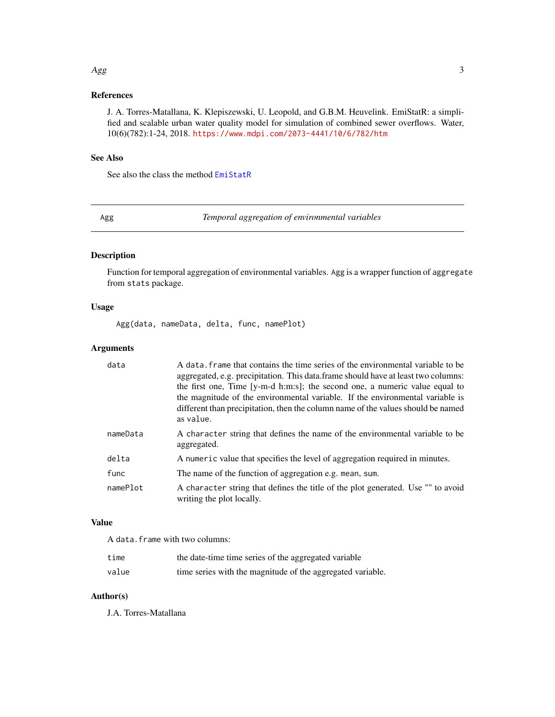#### <span id="page-2-0"></span>References

J. A. Torres-Matallana, K. Klepiszewski, U. Leopold, and G.B.M. Heuvelink. EmiStatR: a simplified and scalable urban water quality model for simulation of combined sewer overflows. Water, 10(6)(782):1-24, 2018. <https://www.mdpi.com/2073-4441/10/6/782/htm>

#### See Also

See also the class the method [EmiStatR](#page-9-1)

Agg *Temporal aggregation of environmental variables*

# Description

Function for temporal aggregation of environmental variables. Agg is a wrapper function of aggregate from stats package.

#### Usage

Agg(data, nameData, delta, func, namePlot)

# Arguments

| data     | A data, frame that contains the time series of the environmental variable to be<br>aggregated, e.g. precipitation. This data frame should have at least two columns:<br>the first one, Time [y-m-d h:m:s]; the second one, a numeric value equal to<br>the magnitude of the environmental variable. If the environmental variable is<br>different than precipitation, then the column name of the values should be named<br>as value. |
|----------|---------------------------------------------------------------------------------------------------------------------------------------------------------------------------------------------------------------------------------------------------------------------------------------------------------------------------------------------------------------------------------------------------------------------------------------|
| nameData | A character string that defines the name of the environmental variable to be<br>aggregated.                                                                                                                                                                                                                                                                                                                                           |
| delta    | A numeric value that specifies the level of aggregation required in minutes.                                                                                                                                                                                                                                                                                                                                                          |
| func     | The name of the function of aggregation e.g. mean, sum.                                                                                                                                                                                                                                                                                                                                                                               |
| namePlot | A character string that defines the title of the plot generated. Use "" to avoid<br>writing the plot locally.                                                                                                                                                                                                                                                                                                                         |

# Value

A data.frame with two columns:

| time  | the date-time time series of the aggregated variable       |
|-------|------------------------------------------------------------|
| value | time series with the magnitude of the aggregated variable. |

# Author(s)

J.A. Torres-Matallana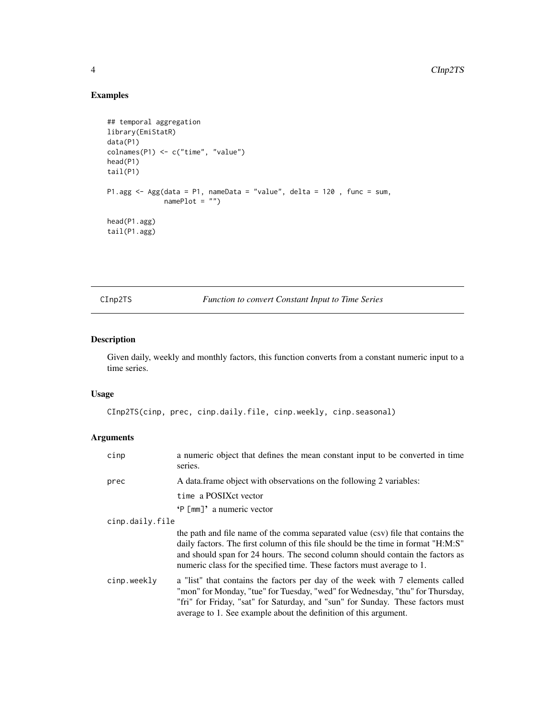# <span id="page-3-0"></span>Examples

```
## temporal aggregation
library(EmiStatR)
data(P1)
colnames(P1) <- c("time", "value")
head(P1)
tail(P1)
P1.agg <- Agg(data = P1, nameData = "value", delta = 120 , func = sum,
              namePlot = "")head(P1.agg)
tail(P1.agg)
```
CInp2TS *Function to convert Constant Input to Time Series*

# Description

Given daily, weekly and monthly factors, this function converts from a constant numeric input to a time series.

# Usage

```
CInp2TS(cinp, prec, cinp.daily.file, cinp.weekly, cinp.seasonal)
```
# Arguments

| cinp            | a numeric object that defines the mean constant input to be converted in time<br>series.                                                                                                                                                                                                                                         |
|-----------------|----------------------------------------------------------------------------------------------------------------------------------------------------------------------------------------------------------------------------------------------------------------------------------------------------------------------------------|
| prec            | A data frame object with observations on the following 2 variables:                                                                                                                                                                                                                                                              |
|                 | time a POSIX ct vector                                                                                                                                                                                                                                                                                                           |
|                 | $'P[mm]'$ a numeric vector                                                                                                                                                                                                                                                                                                       |
| cinp.daily.file |                                                                                                                                                                                                                                                                                                                                  |
|                 | the path and file name of the comma separated value (csv) file that contains the<br>daily factors. The first column of this file should be the time in format "H:M:S"<br>and should span for 24 hours. The second column should contain the factors as<br>numeric class for the specified time. These factors must average to 1. |
| cinp.weekly     | a "list" that contains the factors per day of the week with 7 elements called<br>"mon" for Monday, "tue" for Tuesday, "wed" for Wednesday, "thu" for Thursday,<br>"fri" for Friday, "sat" for Saturday, and "sun" for Sunday. These factors must<br>average to 1. See example about the definition of this argument.             |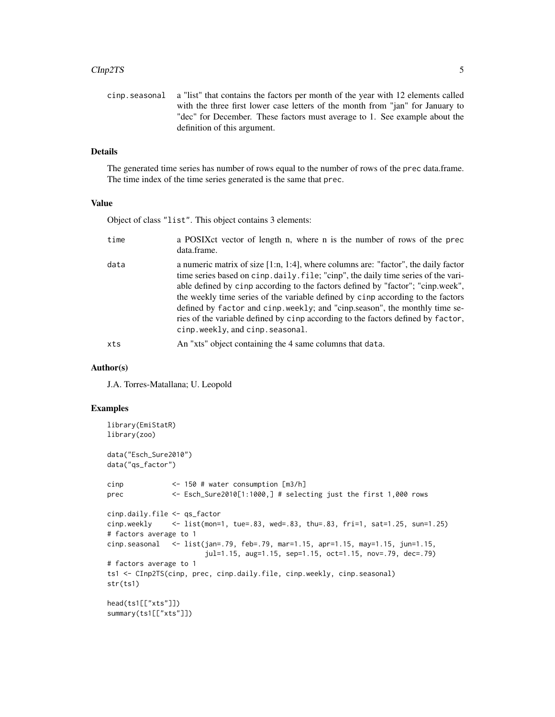#### CInp2TS 5

| cinp. seasonal a "list" that contains the factors per month of the year with 12 elements called |
|-------------------------------------------------------------------------------------------------|
| with the three first lower case letters of the month from "jan" for January to                  |
| "dec" for December. These factors must average to 1. See example about the                      |
| definition of this argument.                                                                    |

# Details

The generated time series has number of rows equal to the number of rows of the prec data.frame. The time index of the time series generated is the same that prec.

# Value

Object of class "list". This object contains 3 elements:

| time | a POSIX ct vector of length n, where n is the number of rows of the prec<br>data.frame.                                                                                                                                                                                                                                                                                                                                                                                                                                                                  |
|------|----------------------------------------------------------------------------------------------------------------------------------------------------------------------------------------------------------------------------------------------------------------------------------------------------------------------------------------------------------------------------------------------------------------------------------------------------------------------------------------------------------------------------------------------------------|
| data | a numeric matrix of size $[1:n, 1:4]$ , where columns are: "factor", the daily factor<br>time series based on cinp. daily. file; "cinp", the daily time series of the vari-<br>able defined by cinp according to the factors defined by "factor"; "cinp.week",<br>the weekly time series of the variable defined by cinp according to the factors<br>defined by factor and cinp. weekly; and "cinp. season", the monthly time se-<br>ries of the variable defined by cinp according to the factors defined by factor,<br>cinp.weekly, and cinp.seasonal. |
| xts  | An "xts" object containing the 4 same columns that data.                                                                                                                                                                                                                                                                                                                                                                                                                                                                                                 |

# Author(s)

J.A. Torres-Matallana; U. Leopold

# Examples

```
library(EmiStatR)
library(zoo)
data("Esch_Sure2010")
data("qs_factor")
cinp <- 150 # water consumption [m3/h]
prec <- Esch_Sure2010[1:1000,] # selecting just the first 1,000 rows
cinp.daily.file <- qs_factor
cinp.weekly <- list(mon=1, tue=.83, wed=.83, thu=.83, fri=1, sat=1.25, sun=1.25)
# factors average to 1
cinp.seasonal <- list(jan=.79, feb=.79, mar=1.15, apr=1.15, may=1.15, jun=1.15,
                       jul=1.15, aug=1.15, sep=1.15, oct=1.15, nov=.79, dec=.79)
# factors average to 1
ts1 <- CInp2TS(cinp, prec, cinp.daily.file, cinp.weekly, cinp.seasonal)
str(ts1)
head(ts1[["xts"]])
summary(ts1[["xts"]])
```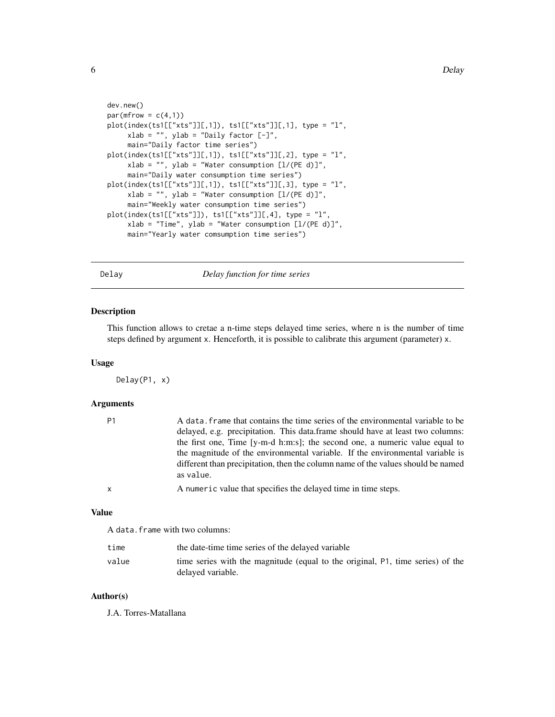```
dev.new()
par(mfrow = c(4,1))plot(index(ts1[["xts"]][,1]), ts1[["xts"]][,1], type = "l",
     xlab = "", ylab = "Daily factor [-]",main="Daily factor time series")
plot(intdex(ts1[["xts"]][,1]), ts1[["xts"]][,2], type = "l",xlab = "", ylab = "Water consumption [l/(PE d)]",main="Daily water consumption time series")
plot(index(ts1[["xts"]][,1]), ts1[["xts"]][,3], type = "l",
     xlab = "", ylab = "Water consumption [1/(PE d)]",main="Weekly water consumption time series")
plot(index(ts1[["xts"]]), ts1[["xts"]][,4], type = "l",
     xlab = "Time", ylab = "Water consumption [1/(PE d)]",main="Yearly water comsumption time series")
```
Delay *Delay function for time series*

# Description

This function allows to cretae a n-time steps delayed time series, where n is the number of time steps defined by argument x. Henceforth, it is possible to calibrate this argument (parameter) x.

#### Usage

Delay(P1, x)

# Arguments

| P1 | A data, frame that contains the time series of the environmental variable to be<br>delayed, e.g. precipitation. This data frame should have at least two columns:<br>the first one, Time [y-m-d h:m:s]; the second one, a numeric value equal to<br>the magnitude of the environmental variable. If the environmental variable is<br>different than precipitation, then the column name of the values should be named |
|----|-----------------------------------------------------------------------------------------------------------------------------------------------------------------------------------------------------------------------------------------------------------------------------------------------------------------------------------------------------------------------------------------------------------------------|
|    | as value.                                                                                                                                                                                                                                                                                                                                                                                                             |
| x  | A numeric value that specifies the delayed time in time steps.                                                                                                                                                                                                                                                                                                                                                        |
|    |                                                                                                                                                                                                                                                                                                                                                                                                                       |

#### Value

A data.frame with two columns:

| time  | the date-time time series of the delayed variable                                                   |
|-------|-----------------------------------------------------------------------------------------------------|
| value | time series with the magnitude (equal to the original, P1, time series) of the<br>delayed variable. |

# Author(s)

J.A. Torres-Matallana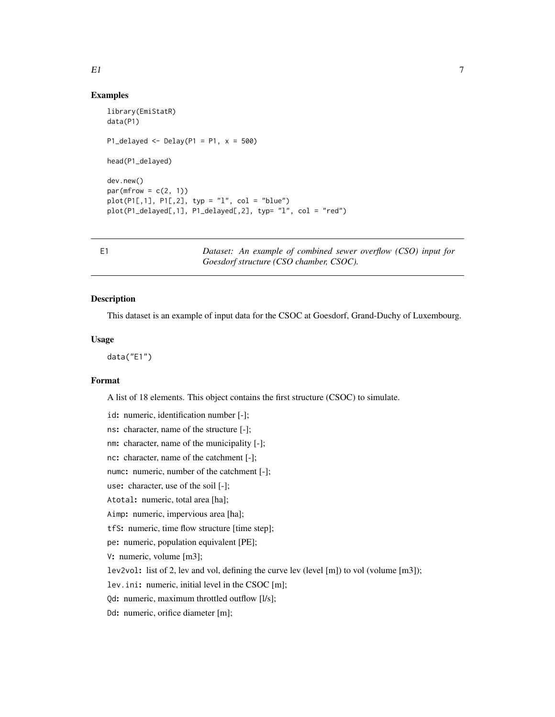# <span id="page-6-0"></span>Examples

```
library(EmiStatR)
data(P1)
P1_delayed <- Delay(P1 = P1, x = 500)head(P1_delayed)
dev.new()
par(mfrow = c(2, 1))plot(P1[,1], P1[,2], typ = "l", col = "blue")
plot(P1_delayed[,1], P1_delayed[,2], typ= "l", col = "red")
```
E1 *Dataset: An example of combined sewer overflow (CSO) input for Goesdorf structure (CSO chamber, CSOC).*

# Description

This dataset is an example of input data for the CSOC at Goesdorf, Grand-Duchy of Luxembourg.

### Usage

data("E1")

# Format

A list of 18 elements. This object contains the first structure (CSOC) to simulate.

id: numeric, identification number [-];

ns: character, name of the structure [-];

nm: character, name of the municipality [-];

nc: character, name of the catchment [-];

numc: numeric, number of the catchment [-];

use: character, use of the soil [-];

Atotal: numeric, total area [ha];

Aimp: numeric, impervious area [ha];

tfS: numeric, time flow structure [time step];

pe: numeric, population equivalent [PE];

V: numeric, volume [m3];

lev2vol: list of 2, lev and vol, defining the curve lev (level [m]) to vol (volume [m3]);

lev.ini: numeric, initial level in the CSOC [m];

Qd: numeric, maximum throttled outflow [l/s];

Dd: numeric, orifice diameter [m];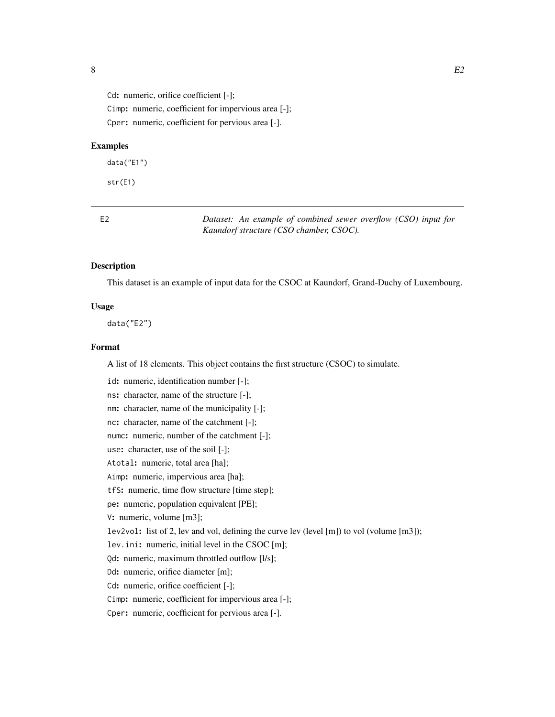<span id="page-7-0"></span>Cd: numeric, orifice coefficient [-];

Cimp: numeric, coefficient for impervious area [-]; Cper: numeric, coefficient for pervious area [-].

#### Examples

data("E1")

str(E1)

E2 *Dataset: An example of combined sewer overflow (CSO) input for Kaundorf structure (CSO chamber, CSOC).*

#### Description

This dataset is an example of input data for the CSOC at Kaundorf, Grand-Duchy of Luxembourg.

#### Usage

data("E2")

# Format

A list of 18 elements. This object contains the first structure (CSOC) to simulate.

id: numeric, identification number [-]; ns: character, name of the structure [-]; nm: character, name of the municipality [-]; nc: character, name of the catchment [-]; numc: numeric, number of the catchment [-]; use: character, use of the soil [-]; Atotal: numeric, total area [ha]; Aimp: numeric, impervious area [ha]; tfS: numeric, time flow structure [time step]; pe: numeric, population equivalent [PE]; V: numeric, volume [m3]; lev2vol: list of 2, lev and vol, defining the curve lev (level [m]) to vol (volume [m3]); lev.ini: numeric, initial level in the CSOC [m]; Qd: numeric, maximum throttled outflow [l/s]; Dd: numeric, orifice diameter [m]; Cd: numeric, orifice coefficient [-]; Cimp: numeric, coefficient for impervious area [-]; Cper: numeric, coefficient for pervious area [-].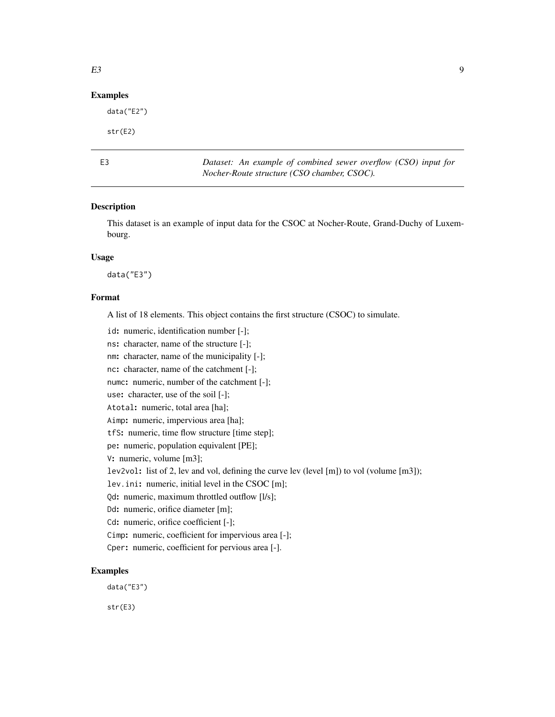### <span id="page-8-0"></span>Examples

data("E2")

str(E2)

E3 *Dataset: An example of combined sewer overflow (CSO) input for Nocher-Route structure (CSO chamber, CSOC).*

### Description

This dataset is an example of input data for the CSOC at Nocher-Route, Grand-Duchy of Luxembourg.

#### Usage

data("E3")

#### Format

A list of 18 elements. This object contains the first structure (CSOC) to simulate.

id: numeric, identification number [-];

ns: character, name of the structure [-];

nm: character, name of the municipality [-];

nc: character, name of the catchment [-];

numc: numeric, number of the catchment [-];

use: character, use of the soil [-];

Atotal: numeric, total area [ha];

Aimp: numeric, impervious area [ha];

tfS: numeric, time flow structure [time step];

pe: numeric, population equivalent [PE];

V: numeric, volume [m3];

lev2vol: list of 2, lev and vol, defining the curve lev (level [m]) to vol (volume [m3]);

lev.ini: numeric, initial level in the CSOC [m];

Qd: numeric, maximum throttled outflow [l/s];

Dd: numeric, orifice diameter [m];

Cd: numeric, orifice coefficient [-];

Cimp: numeric, coefficient for impervious area [-];

Cper: numeric, coefficient for pervious area [-].

# Examples

data("E3")

str(E3)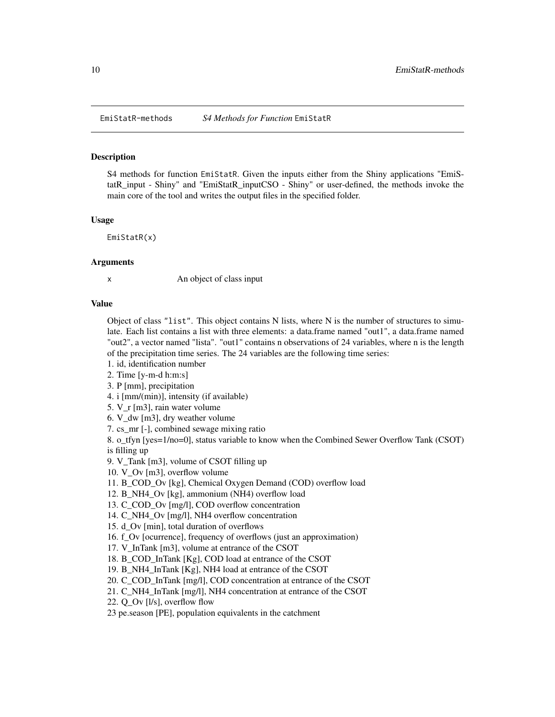<span id="page-9-0"></span>

#### <span id="page-9-1"></span>Description

S4 methods for function EmiStatR. Given the inputs either from the Shiny applications "EmiStatR\_input - Shiny" and "EmiStatR\_inputCSO - Shiny" or user-defined, the methods invoke the main core of the tool and writes the output files in the specified folder.

#### Usage

EmiStatR(x)

#### Arguments

x An object of class input

# Value

Object of class "list". This object contains N lists, where N is the number of structures to simulate. Each list contains a list with three elements: a data.frame named "out1", a data.frame named "out2", a vector named "lista". "out1" contains n observations of 24 variables, where n is the length of the precipitation time series. The 24 variables are the following time series:

1. id, identification number

2. Time [y-m-d h:m:s]

3. P [mm], precipitation

4. i [mm/(min)], intensity (if available)

5. V\_r [m3], rain water volume

6. V\_dw [m3], dry weather volume

7. cs\_mr [-], combined sewage mixing ratio

8. o tfyn [yes=1/no=0], status variable to know when the Combined Sewer Overflow Tank (CSOT) is filling up

9. V\_Tank [m3], volume of CSOT filling up

10. V\_Ov [m3], overflow volume

11. B\_COD\_Ov [kg], Chemical Oxygen Demand (COD) overflow load

12. B\_NH4\_Ov [kg], ammonium (NH4) overflow load

13. C\_COD\_Ov [mg/l], COD overflow concentration

14. C\_NH4\_Ov [mg/l], NH4 overflow concentration

15. d\_Ov [min], total duration of overflows

16. f\_Ov [ocurrence], frequency of overflows (just an approximation)

17. V\_InTank [m3], volume at entrance of the CSOT

18. B\_COD\_InTank [Kg], COD load at entrance of the CSOT

19. B\_NH4\_InTank [Kg], NH4 load at entrance of the CSOT

20. C\_COD\_InTank [mg/l], COD concentration at entrance of the CSOT

21. C\_NH4\_InTank [mg/l], NH4 concentration at entrance of the CSOT

22. Q Ov [l/s], overflow flow

23 pe.season [PE], population equivalents in the catchment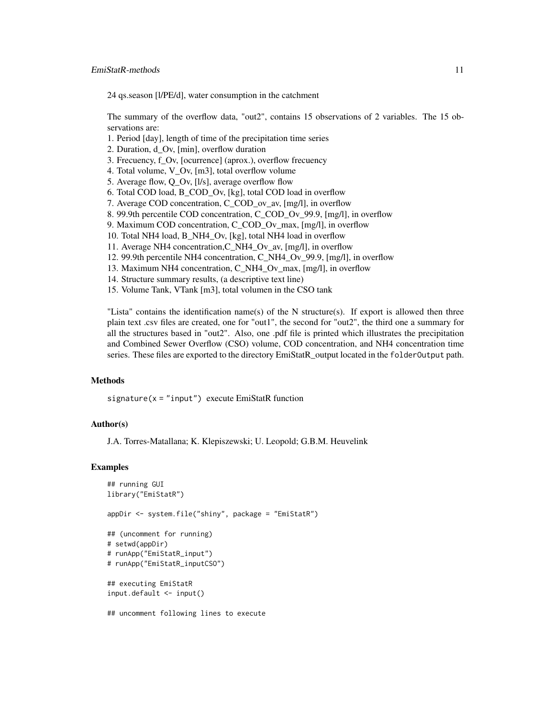# EmiStatR-methods 11

24 qs.season [l/PE/d], water consumption in the catchment

The summary of the overflow data, "out2", contains 15 observations of 2 variables. The 15 observations are:

- 1. Period [day], length of time of the precipitation time series
- 2. Duration, d\_Ov, [min], overflow duration
- 3. Frecuency, f\_Ov, [ocurrence] (aprox.), overflow frecuency
- 4. Total volume, V\_Ov, [m3], total overflow volume
- 5. Average flow, Q\_Ov, [l/s], average overflow flow
- 6. Total COD load, B\_COD\_Ov, [kg], total COD load in overflow
- 7. Average COD concentration, C\_COD\_ov\_av, [mg/l], in overflow
- 8. 99.9th percentile COD concentration, C\_COD\_Ov\_99.9, [mg/l], in overflow
- 9. Maximum COD concentration, C\_COD\_Ov\_max, [mg/l], in overflow
- 10. Total NH4 load, B\_NH4\_Ov, [kg], total NH4 load in overflow
- 11. Average NH4 concentration,C\_NH4\_Ov\_av, [mg/l], in overflow
- 12. 99.9th percentile NH4 concentration, C\_NH4\_Ov\_99.9, [mg/l], in overflow
- 13. Maximum NH4 concentration, C\_NH4\_Ov\_max, [mg/l], in overflow
- 14. Structure summary results, (a descriptive text line)
- 15. Volume Tank, VTank [m3], total volumen in the CSO tank

"Lista" contains the identification name(s) of the N structure(s). If export is allowed then three plain text .csv files are created, one for "out1", the second for "out2", the third one a summary for all the structures based in "out2". Also, one .pdf file is printed which illustrates the precipitation and Combined Sewer Overflow (CSO) volume, COD concentration, and NH4 concentration time series. These files are exported to the directory EmiStatR\_output located in the folderOutput path.

#### **Methods**

 $signature(x = "input")$  execute EmiStatR function

## Author(s)

J.A. Torres-Matallana; K. Klepiszewski; U. Leopold; G.B.M. Heuvelink

#### Examples

```
## running GUI
library("EmiStatR")
appDir <- system.file("shiny", package = "EmiStatR")
## (uncomment for running)
# setwd(appDir)
# runApp("EmiStatR_input")
# runApp("EmiStatR_inputCSO")
## executing EmiStatR
input.default <- input()
## uncomment following lines to execute
```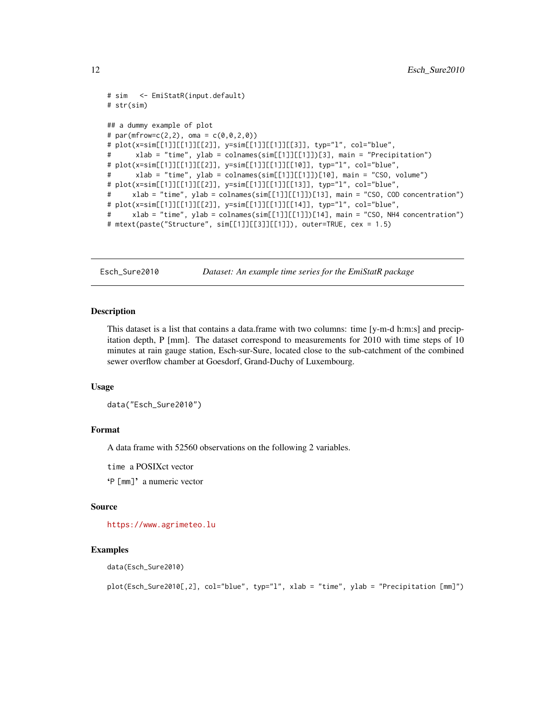```
# sim <- EmiStatR(input.default)
# str(sim)
## a dummy example of plot
# par(mfrow=c(2,2), oma = c(\emptyset, \emptyset, 2, \emptyset))
# plot(x=sim[[1]][[1]][[2]], y=sim[[1]][[1]][[3]], typ="l", col="blue",
# xlab = "time", ylab = colnames(sim[[1]][[1]])[3], main = "Precipitation")
# plot(x=sim[[1]][[1]][[2]], y=sim[[1]][[1]][[10]], typ="l", col="blue",
# xlab = "time", ylab = colnames(sim[[1]][[1]])[10], main = "CSO, volume")
# plot(x=sim[[1]][[1]][[2]], y=sim[[1]][[1]][[13]], typ="l", col="blue",
# xlab = "time", ylab = colnames(sim[[1]][[1]])[13], main = "CSO, COD concentration")
# plot(x=sim[[1]][[1]][[2]], y=sim[[1]][[1]][[14]], typ="l", col="blue",
# xlab = "time", ylab = colnames(sim[[1]][[1]])[14], main = "CSO, NH4 concentration")
# mtext(paste("Structure", sim[[1]][[3]][[1]]), outer=TRUE, cex = 1.5)
```
Esch\_Sure2010 *Dataset: An example time series for the EmiStatR package*

#### **Description**

This dataset is a list that contains a data.frame with two columns: time [y-m-d h:m:s] and precipitation depth, P [mm]. The dataset correspond to measurements for 2010 with time steps of 10 minutes at rain gauge station, Esch-sur-Sure, located close to the sub-catchment of the combined sewer overflow chamber at Goesdorf, Grand-Duchy of Luxembourg.

#### Usage

```
data("Esch_Sure2010")
```
#### Format

A data frame with 52560 observations on the following 2 variables.

time a POSIXct vector

'P [mm]' a numeric vector

#### Source

<https://www.agrimeteo.lu>

#### Examples

data(Esch\_Sure2010)

plot(Esch\_Sure2010[,2], col="blue", typ="l", xlab = "time", ylab = "Precipitation [mm]")

<span id="page-11-0"></span>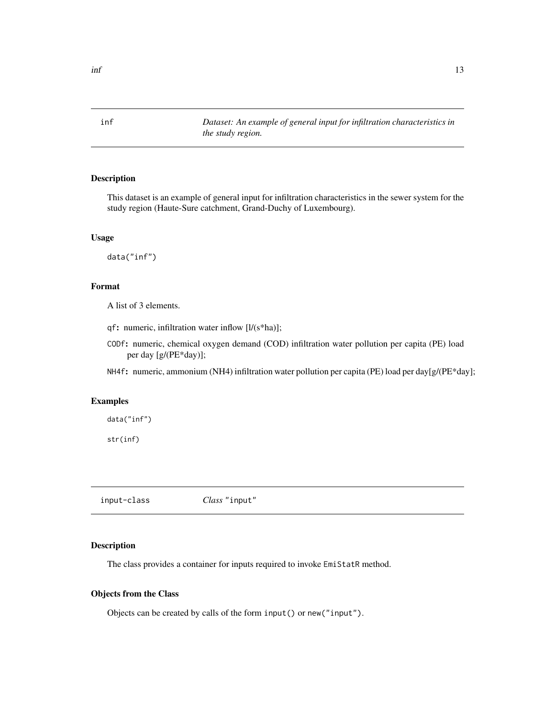<span id="page-12-0"></span>inf *Dataset: An example of general input for infiltration characteristics in the study region.*

# Description

This dataset is an example of general input for infiltration characteristics in the sewer system for the study region (Haute-Sure catchment, Grand-Duchy of Luxembourg).

# Usage

data("inf")

#### Format

A list of 3 elements.

qf: numeric, infiltration water inflow [l/(s\*ha)];

CODf: numeric, chemical oxygen demand (COD) infiltration water pollution per capita (PE) load per day [g/(PE\*day)];

NH4f: numeric, ammonium (NH4) infiltration water pollution per capita (PE) load per day[g/(PE\*day];

### Examples

data("inf")

str(inf)

input-class *Class* "input"

# Description

The class provides a container for inputs required to invoke EmiStatR method.

# Objects from the Class

Objects can be created by calls of the form input() or new("input").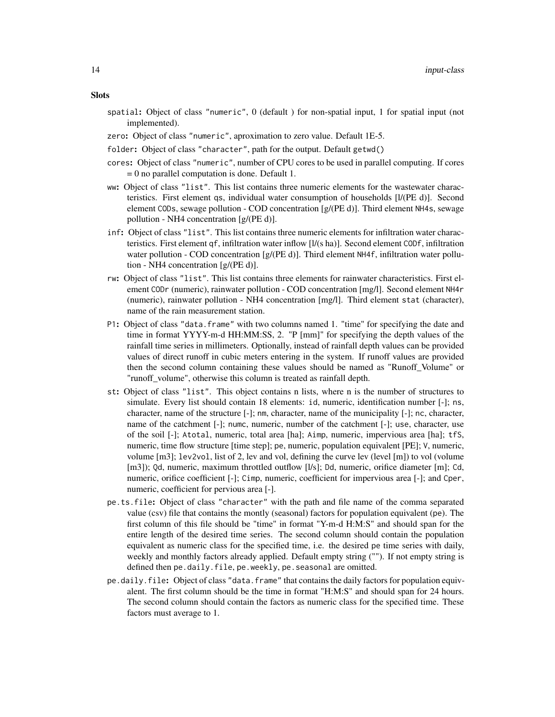- spatial: Object of class "numeric", 0 (default ) for non-spatial input, 1 for spatial input (not implemented).
- zero: Object of class "numeric", aproximation to zero value. Default 1E-5.
- folder: Object of class "character", path for the output. Default getwd()
- cores: Object of class "numeric", number of CPU cores to be used in parallel computing. If cores = 0 no parallel computation is done. Default 1.
- ww: Object of class "list". This list contains three numeric elements for the wastewater characteristics. First element qs, individual water consumption of households [l/(PE d)]. Second element CODs, sewage pollution - COD concentration [g/(PE d)]. Third element NH4s, sewage pollution - NH4 concentration [g/(PE d)].
- inf: Object of class "list". This list contains three numeric elements for infiltration water characteristics. First element qf, infiltration water inflow [l/(s ha)]. Second element CODf, infiltration water pollution - COD concentration [g/(PE d)]. Third element NH4f, infiltration water pollution - NH4 concentration [g/(PE d)].
- rw: Object of class "list". This list contains three elements for rainwater characteristics. First element CODr (numeric), rainwater pollution - COD concentration [mg/l]. Second element NH4r (numeric), rainwater pollution - NH4 concentration [mg/l]. Third element stat (character), name of the rain measurement station.
- P1: Object of class "data.frame" with two columns named 1. "time" for specifying the date and time in format YYYY-m-d HH:MM:SS, 2. "P [mm]" for specifying the depth values of the rainfall time series in millimeters. Optionally, instead of rainfall depth values can be provided values of direct runoff in cubic meters entering in the system. If runoff values are provided then the second column containing these values should be named as "Runoff\_Volume" or "runoff\_volume", otherwise this column is treated as rainfall depth.
- st: Object of class "list". This object contains n lists, where n is the number of structures to simulate. Every list should contain 18 elements: id, numeric, identification number [-]; ns, character, name of the structure [-]; nm, character, name of the municipality [-]; nc, character, name of the catchment [-]; numc, numeric, number of the catchment [-]; use, character, use of the soil [-]; Atotal, numeric, total area [ha]; Aimp, numeric, impervious area [ha]; tfS, numeric, time flow structure [time step]; pe, numeric, population equivalent [PE]; V, numeric, volume  $[m3]$ ; lev2vol, list of 2, lev and vol, defining the curve lev (level  $[m]$ ) to vol (volume [m3]); Qd, numeric, maximum throttled outflow [l/s]; Dd, numeric, orifice diameter [m]; Cd, numeric, orifice coefficient [-]; Cimp, numeric, coefficient for impervious area [-]; and Cper, numeric, coefficient for pervious area [-].
- pe.ts.file: Object of class "character" with the path and file name of the comma separated value (csv) file that contains the montly (seasonal) factors for population equivalent (pe). The first column of this file should be "time" in format "Y-m-d H:M:S" and should span for the entire length of the desired time series. The second column should contain the population equivalent as numeric class for the specified time, i.e. the desired pe time series with daily, weekly and monthly factors already applied. Default empty string (""). If not empty string is defined then pe.daily.file, pe.weekly, pe.seasonal are omitted.
- $pe.$  daily. file: Object of class "data. frame" that contains the daily factors for population equivalent. The first column should be the time in format "H:M:S" and should span for 24 hours. The second column should contain the factors as numeric class for the specified time. These factors must average to 1.

#### **Slots**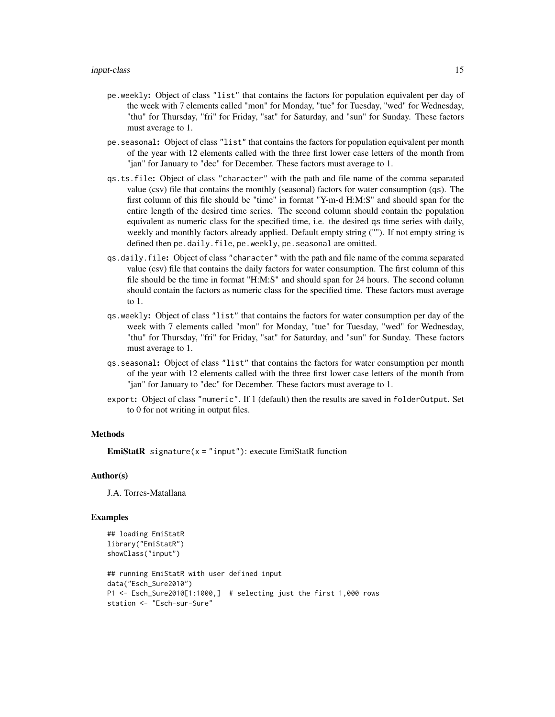- pe.weekly: Object of class "list" that contains the factors for population equivalent per day of the week with 7 elements called "mon" for Monday, "tue" for Tuesday, "wed" for Wednesday, "thu" for Thursday, "fri" for Friday, "sat" for Saturday, and "sun" for Sunday. These factors must average to 1.
- pe.seasonal: Object of class "list" that contains the factors for population equivalent per month of the year with 12 elements called with the three first lower case letters of the month from "jan" for January to "dec" for December. These factors must average to 1.
- qs.ts.file: Object of class "character" with the path and file name of the comma separated value (csv) file that contains the monthly (seasonal) factors for water consumption (qs). The first column of this file should be "time" in format "Y-m-d H:M:S" and should span for the entire length of the desired time series. The second column should contain the population equivalent as numeric class for the specified time, i.e. the desired qs time series with daily, weekly and monthly factors already applied. Default empty string (""). If not empty string is defined then pe.daily.file, pe.weekly, pe.seasonal are omitted.
- qs.daily.file: Object of class "character" with the path and file name of the comma separated value (csv) file that contains the daily factors for water consumption. The first column of this file should be the time in format "H:M:S" and should span for 24 hours. The second column should contain the factors as numeric class for the specified time. These factors must average to 1.
- qs.weekly: Object of class "list" that contains the factors for water consumption per day of the week with 7 elements called "mon" for Monday, "tue" for Tuesday, "wed" for Wednesday, "thu" for Thursday, "fri" for Friday, "sat" for Saturday, and "sun" for Sunday. These factors must average to 1.
- qs.seasonal: Object of class "list" that contains the factors for water consumption per month of the year with 12 elements called with the three first lower case letters of the month from "jan" for January to "dec" for December. These factors must average to 1.
- export: Object of class "numeric". If 1 (default) then the results are saved in folderOutput. Set to 0 for not writing in output files.

#### Methods

**EmiStatR** signature( $x =$ "input"): execute EmiStatR function

# Author(s)

J.A. Torres-Matallana

#### Examples

```
## loading EmiStatR
library("EmiStatR")
showClass("input")
## running EmiStatR with user defined input
data("Esch_Sure2010")
P1 <- Esch_Sure2010[1:1000,] # selecting just the first 1,000 rows
station <- "Esch-sur-Sure"
```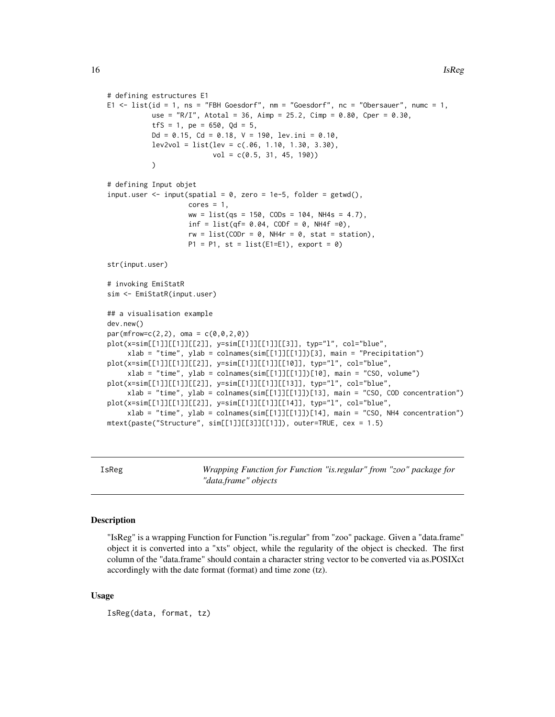```
# defining estructures E1
E1 \le list(id = 1, ns = "FBH Goesdorf", nm = "Goesdorf", nc = "Obersauer", numc = 1,
           use = "R/I", Atotal = 36, Aimp = 25.2, Cimp = 0.80, Cper = 0.30,
           tfS = 1, pe = 650, Qd = 5,
           Dd = 0.15, Cd = 0.18, V = 190, lev.ini = 0.10,
           lev2vol = list(lev = c(.06, 1.10, 1.30, 3.30),vol = c(0.5, 31, 45, 190))
# defining Input objet
input.user <- input(spatial = 0, zero = 1e-5, folder = getwd(),
                    cores = 1,ww = list(qs = 150, CODs = 104, NH4s = 4.7),
                    inf = list(qf = 0.04, CODF = 0, NH4f = 0),
                    rw = list(CODr = 0, NH4r = 0, stat = station),P1 = P1, st = list(E1=E1), export = 0)
str(input.user)
# invoking EmiStatR
sim <- EmiStatR(input.user)
## a visualisation example
dev.new()
par(mfrow=c(2,2), \text{ oma} = c(0,0,2,0))plot(x=sim[[1]][[1]][[2]], y=sim[[1]][[1]][[3]], typ="l", col="blue",
     xlab = "time", ylab = colnames(sim[[1]][[1]])[3], main = "Precipitation")
plot(x=sim[[1]][[1]][[2]], y=sim[[1]][[1]][[10]], typ="l", col="blue",
     xlab = "time", ylab = colnames(sin[[1]][[1]])[10], main = "CSO, volume")plot(x=sim[[1]][[1]][[2]], y=sim[[1]][[1]][[13]], typ="l", col="blue",
     xlab = "time", ylab = colnames(sin[[1]][[1]])[13], main = "CSO, COD concentration")plot(x=sim[[1]][[1]][[2]], y=sim[[1]][[1]][[14]], typ="l", col="blue",
     xlab = "time", ylab = colnames(sin[[1]][[1]])[14], main = "CSO, NH4 concentration")mtext(paste("Structure", sim[[1]][[3]][[1]]), outer=TRUE, cex = 1.5)
```
IsReg *Wrapping Function for Function "is.regular" from "zoo" package for "data.frame" objects*

#### **Description**

"IsReg" is a wrapping Function for Function "is.regular" from "zoo" package. Given a "data.frame" object it is converted into a "xts" object, while the regularity of the object is checked. The first column of the "data.frame" should contain a character string vector to be converted via as.POSIXct accordingly with the date format (format) and time zone (tz).

# Usage

IsReg(data, format, tz)

<span id="page-15-0"></span>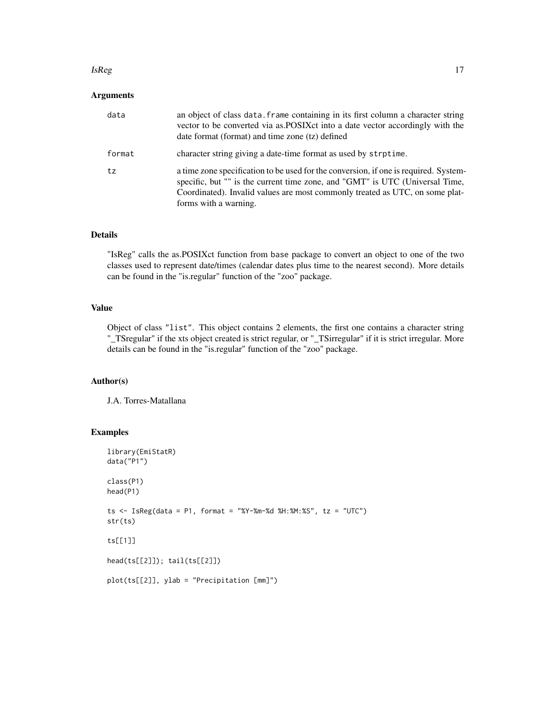#### $IsReg$  and the set of the set of the set of the set of the set of the set of the set of the set of the set of the set of the set of the set of the set of the set of the set of the set of the set of the set of the set of the

# Arguments

| data   | an object of class data. Frame containing in its first column a character string<br>vector to be converted via as POSIX ct into a date vector accordingly with the<br>date format (format) and time zone (tz) defined                                                         |
|--------|-------------------------------------------------------------------------------------------------------------------------------------------------------------------------------------------------------------------------------------------------------------------------------|
| format | character string giving a date-time format as used by strptime.                                                                                                                                                                                                               |
| tz     | a time zone specification to be used for the conversion, if one is required. System-<br>specific, but "" is the current time zone, and "GMT" is UTC (Universal Time,<br>Coordinated). Invalid values are most commonly treated as UTC, on some plat-<br>forms with a warning. |

# Details

"IsReg" calls the as.POSIXct function from base package to convert an object to one of the two classes used to represent date/times (calendar dates plus time to the nearest second). More details can be found in the "is.regular" function of the "zoo" package.

# Value

Object of class "list". This object contains 2 elements, the first one contains a character string "\_TSregular" if the xts object created is strict regular, or "\_TSirregular" if it is strict irregular. More details can be found in the "is.regular" function of the "zoo" package.

# Author(s)

J.A. Torres-Matallana

# Examples

```
library(EmiStatR)
data("P1")
class(P1)
head(P1)
ts \le IsReg(data = P1, format = "%Y-%m-%d %H:%M:%S", tz = "UTC")
str(ts)
ts[[1]]
head(ts[[2]]); tail(ts[[2]])
plot(ts[[2]], ylab = "Precipitation [mm]")
```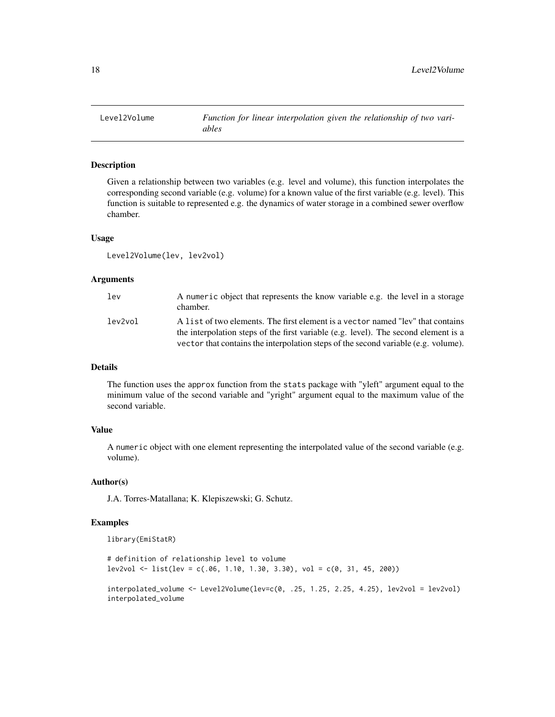<span id="page-17-0"></span>

# **Description**

Given a relationship between two variables (e.g. level and volume), this function interpolates the corresponding second variable (e.g. volume) for a known value of the first variable (e.g. level). This function is suitable to represented e.g. the dynamics of water storage in a combined sewer overflow chamber.

# Usage

```
Level2Volume(lev, lev2vol)
```
#### Arguments

| lev     | A numeric object that represents the know variable e.g. the level in a storage<br>chamber.                                                                             |
|---------|------------------------------------------------------------------------------------------------------------------------------------------------------------------------|
| lev2vol | A list of two elements. The first element is a vector named "lev" that contains<br>the interpolation steps of the first variable (e.g. level). The second element is a |
|         | vector that contains the interpolation steps of the second variable (e.g. volume).                                                                                     |

# Details

The function uses the approx function from the stats package with "yleft" argument equal to the minimum value of the second variable and "yright" argument equal to the maximum value of the second variable.

#### Value

A numeric object with one element representing the interpolated value of the second variable (e.g. volume).

#### Author(s)

J.A. Torres-Matallana; K. Klepiszewski; G. Schutz.

# Examples

library(EmiStatR)

# definition of relationship level to volume  $lev2vol \le list(lev = c(.06, 1.10, 1.30, 3.30), vol = c(0, 31, 45, 200))$ 

interpolated\_volume <- Level2Volume(lev=c(0, .25, 1.25, 2.25, 4.25), lev2vol = lev2vol) interpolated\_volume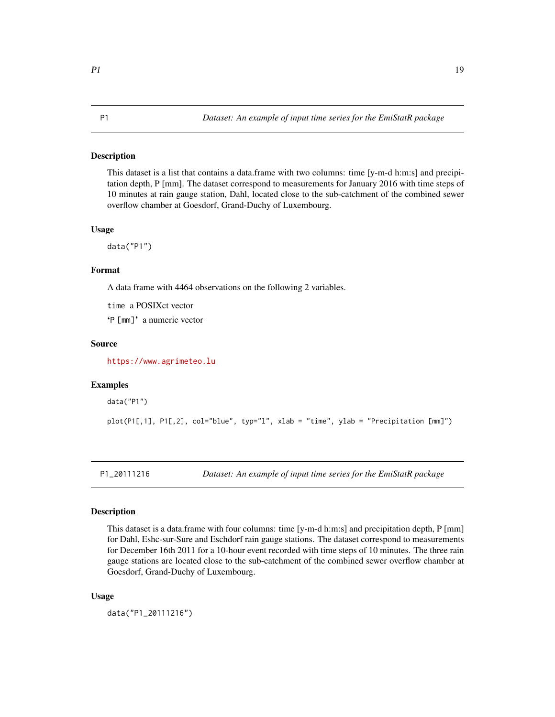#### <span id="page-18-0"></span>Description

This dataset is a list that contains a data.frame with two columns: time [y-m-d h:m:s] and precipitation depth, P [mm]. The dataset correspond to measurements for January 2016 with time steps of 10 minutes at rain gauge station, Dahl, located close to the sub-catchment of the combined sewer overflow chamber at Goesdorf, Grand-Duchy of Luxembourg.

#### Usage

data("P1")

# Format

A data frame with 4464 observations on the following 2 variables.

time a POSIXct vector

'P [mm]' a numeric vector

### Source

<https://www.agrimeteo.lu>

#### Examples

data("P1")

plot(P1[,1], P1[,2], col="blue", typ="l", xlab = "time", ylab = "Precipitation [mm]")

P1\_20111216 *Dataset: An example of input time series for the EmiStatR package*

#### Description

This dataset is a data.frame with four columns: time [y-m-d h:m:s] and precipitation depth, P [mm] for Dahl, Eshc-sur-Sure and Eschdorf rain gauge stations. The dataset correspond to measurements for December 16th 2011 for a 10-hour event recorded with time steps of 10 minutes. The three rain gauge stations are located close to the sub-catchment of the combined sewer overflow chamber at Goesdorf, Grand-Duchy of Luxembourg.

#### Usage

data("P1\_20111216")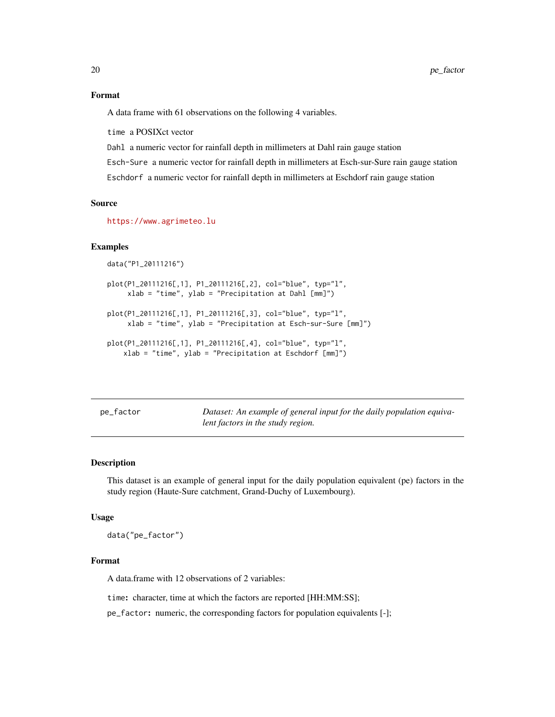#### <span id="page-19-0"></span>Format

A data frame with 61 observations on the following 4 variables.

time a POSIXct vector

Dahl a numeric vector for rainfall depth in millimeters at Dahl rain gauge station

Esch-Sure a numeric vector for rainfall depth in millimeters at Esch-sur-Sure rain gauge station

Eschdorf a numeric vector for rainfall depth in millimeters at Eschdorf rain gauge station

# Source

<https://www.agrimeteo.lu>

#### Examples

data("P1\_20111216")

```
plot(P1_20111216[,1], P1_20111216[,2], col="blue", typ="l",
     xlab = "time", ylab = "Precipitation at Dahl [mm]")
```

```
plot(P1_20111216[,1], P1_20111216[,3], col="blue", typ="l",
     xlab = "time", ylab = "Precipitation at Esch-sur-Sure [mm]")
```

```
plot(P1_20111216[,1], P1_20111216[,4], col="blue", typ="l",
    xlab = "time", ylab = "Precipitation at Eschdorf [mm]")
```
pe\_factor *Dataset: An example of general input for the daily population equivalent factors in the study region.*

#### Description

This dataset is an example of general input for the daily population equivalent (pe) factors in the study region (Haute-Sure catchment, Grand-Duchy of Luxembourg).

#### Usage

data("pe\_factor")

#### Format

A data.frame with 12 observations of 2 variables:

time: character, time at which the factors are reported [HH:MM:SS];

pe\_factor: numeric, the corresponding factors for population equivalents [-];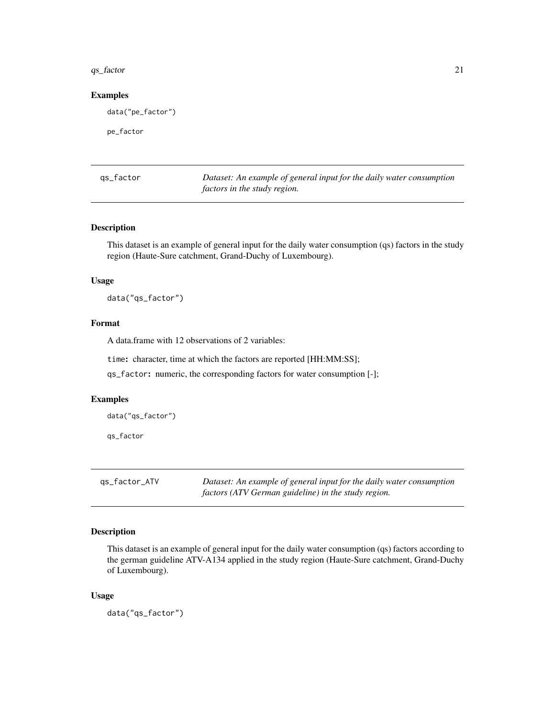#### <span id="page-20-0"></span> $qs_{\text{}}$  factor 21

#### Examples

data("pe\_factor")

pe\_factor

qs\_factor *Dataset: An example of general input for the daily water consumption factors in the study region.*

# Description

This dataset is an example of general input for the daily water consumption (qs) factors in the study region (Haute-Sure catchment, Grand-Duchy of Luxembourg).

#### Usage

data("qs\_factor")

# Format

A data.frame with 12 observations of 2 variables:

time: character, time at which the factors are reported [HH:MM:SS];

qs\_factor: numeric, the corresponding factors for water consumption [-];

#### Examples

data("qs\_factor")

qs\_factor

qs\_factor\_ATV *Dataset: An example of general input for the daily water consumption factors (ATV German guideline) in the study region.*

#### Description

This dataset is an example of general input for the daily water consumption (qs) factors according to the german guideline ATV-A134 applied in the study region (Haute-Sure catchment, Grand-Duchy of Luxembourg).

#### Usage

data("qs\_factor")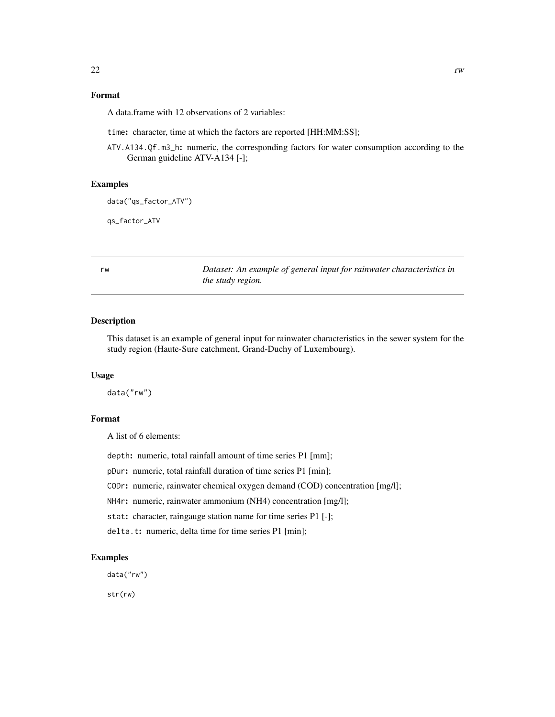# <span id="page-21-0"></span>Format

A data.frame with 12 observations of 2 variables:

time: character, time at which the factors are reported [HH:MM:SS];

ATV.A134.Qf.m3\_h: numeric, the corresponding factors for water consumption according to the German guideline ATV-A134 [-];

# Examples

data("qs\_factor\_ATV")

qs\_factor\_ATV

rw *Dataset: An example of general input for rainwater characteristics in the study region.*

# Description

This dataset is an example of general input for rainwater characteristics in the sewer system for the study region (Haute-Sure catchment, Grand-Duchy of Luxembourg).

#### Usage

data("rw")

# Format

A list of 6 elements:

depth: numeric, total rainfall amount of time series P1 [mm];

pDur: numeric, total rainfall duration of time series P1 [min];

CODr: numeric, rainwater chemical oxygen demand (COD) concentration [mg/l];

NH4r: numeric, rainwater ammonium (NH4) concentration [mg/l];

stat: character, raingauge station name for time series P1 [-];

delta.t: numeric, delta time for time series P1 [min];

# Examples

data("rw")

str(rw)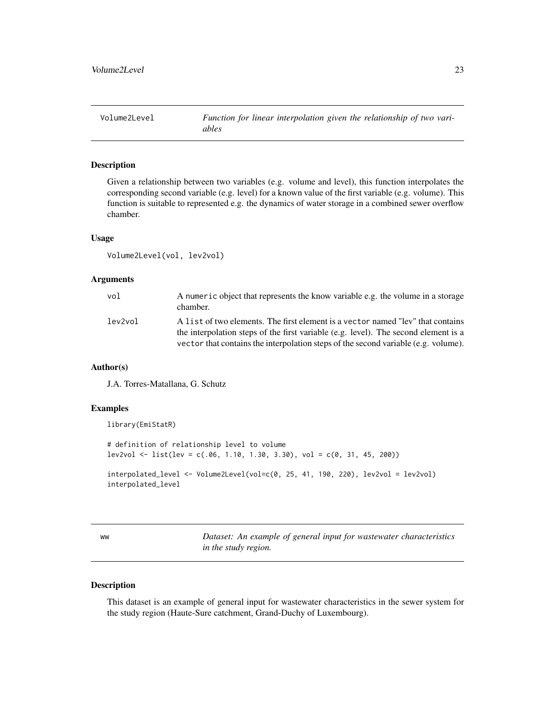<span id="page-22-0"></span>

# Description

Given a relationship between two variables (e.g. volume and level), this function interpolates the corresponding second variable (e.g. level) for a known value of the first variable (e.g. volume). This function is suitable to represented e.g. the dynamics of water storage in a combined sewer overflow chamber.

# Usage

Volume2Level(vol, lev2vol)

#### Arguments

| vol     | A numeric object that represents the know variable e.g. the volume in a storage<br>chamber.                                                                            |
|---------|------------------------------------------------------------------------------------------------------------------------------------------------------------------------|
| lev2vol | A list of two elements. The first element is a vector named "lev" that contains<br>the interpolation steps of the first variable (e.g. level). The second element is a |
|         | vector that contains the interpolation steps of the second variable (e.g. volume).                                                                                     |

### Author(s)

J.A. Torres-Matallana, G. Schutz

# Examples

library(EmiStatR)

# definition of relationship level to volume  $lev2vol \le list(lev = c(.06, 1.10, 1.30, 3.30), vol = c(0, 31, 45, 200))$ 

```
interpolated_level <- Volume2Level(vol=c(0, 25, 41, 190, 220), lev2vol = lev2vol)
interpolated_level
```
ww *Dataset: An example of general input for wastewater characteristics in the study region.*

# Description

This dataset is an example of general input for wastewater characteristics in the sewer system for the study region (Haute-Sure catchment, Grand-Duchy of Luxembourg).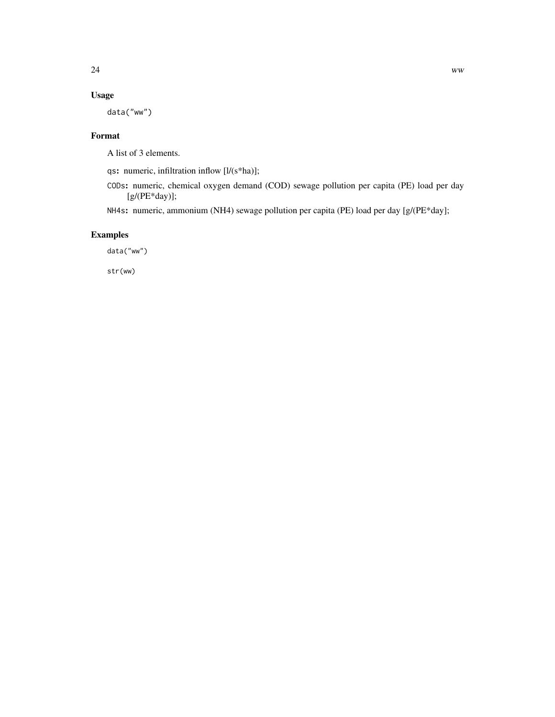# Usage

data("ww")

# Format

A list of 3 elements.

qs: numeric, infiltration inflow [l/(s\*ha)];

CODs: numeric, chemical oxygen demand (COD) sewage pollution per capita (PE) load per day [g/(PE\*day)];

NH4s: numeric, ammonium (NH4) sewage pollution per capita (PE) load per day [g/(PE\*day];

# Examples

data("ww")

str(ww)